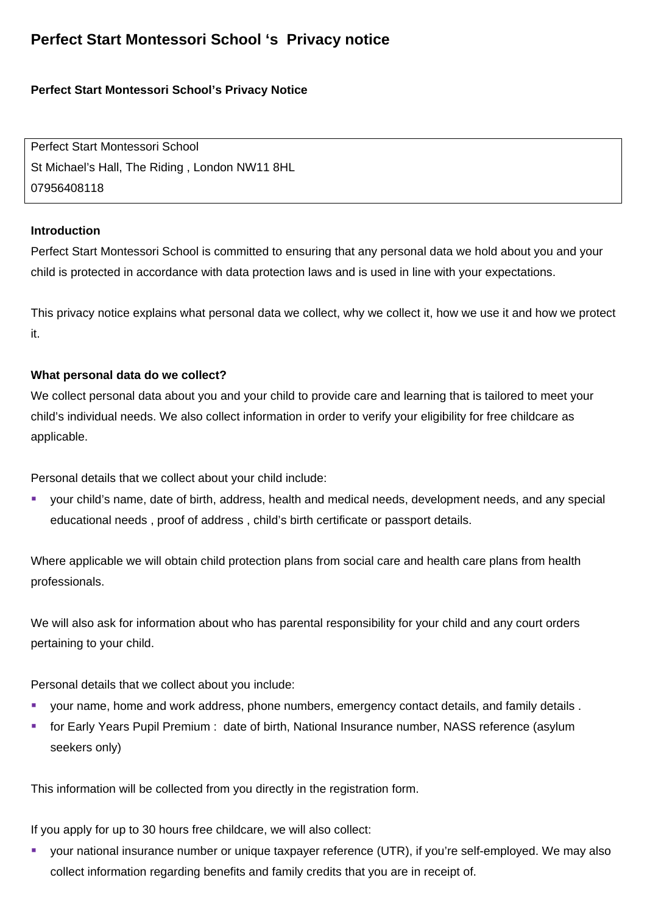# **Perfect Start Montessori School 's Privacy notice**

# **Perfect Start Montessori School's Privacy Notice**

Perfect Start Montessori School St Michael's Hall, The Riding , London NW11 8HL 07956408118

## **Introduction**

Perfect Start Montessori School is committed to ensuring that any personal data we hold about you and your child is protected in accordance with data protection laws and is used in line with your expectations.

This privacy notice explains what personal data we collect, why we collect it, how we use it and how we protect it.

# **What personal data do we collect?**

We collect personal data about you and your child to provide care and learning that is tailored to meet your child's individual needs. We also collect information in order to verify your eligibility for free childcare as applicable.

Personal details that we collect about your child include:

 your child's name, date of birth, address, health and medical needs, development needs, and any special educational needs , proof of address , child's birth certificate or passport details.

Where applicable we will obtain child protection plans from social care and health care plans from health professionals.

We will also ask for information about who has parental responsibility for your child and any court orders pertaining to your child.

Personal details that we collect about you include:

- your name, home and work address, phone numbers, emergency contact details, and family details .
- **F** for Early Years Pupil Premium : date of birth, National Insurance number, NASS reference (asylum seekers only)

This information will be collected from you directly in the registration form.

If you apply for up to 30 hours free childcare, we will also collect:

 your national insurance number or unique taxpayer reference (UTR), if you're self-employed. We may also collect information regarding benefits and family credits that you are in receipt of.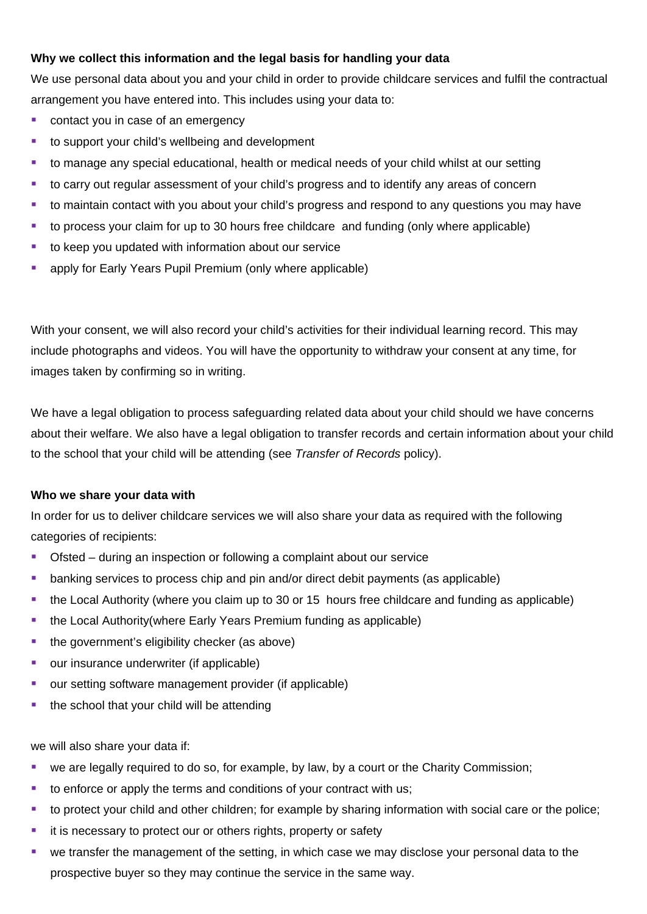# **Why we collect this information and the legal basis for handling your data**

We use personal data about you and your child in order to provide childcare services and fulfil the contractual arrangement you have entered into. This includes using your data to:

- contact you in case of an emergency
- to support your child's wellbeing and development
- to manage any special educational, health or medical needs of your child whilst at our setting
- to carry out regular assessment of your child's progress and to identify any areas of concern
- to maintain contact with you about your child's progress and respond to any questions you may have
- to process your claim for up to 30 hours free childcare and funding (only where applicable)
- to keep you updated with information about our service
- apply for Early Years Pupil Premium (only where applicable)

With your consent, we will also record your child's activities for their individual learning record. This may include photographs and videos. You will have the opportunity to withdraw your consent at any time, for images taken by confirming so in writing.

We have a legal obligation to process safeguarding related data about your child should we have concerns about their welfare. We also have a legal obligation to transfer records and certain information about your child to the school that your child will be attending (see *Transfer of Records* policy).

## **Who we share your data with**

In order for us to deliver childcare services we will also share your data as required with the following categories of recipients:

- Ofsted during an inspection or following a complaint about our service
- banking services to process chip and pin and/or direct debit payments (as applicable)
- the Local Authority (where you claim up to 30 or 15 hours free childcare and funding as applicable)
- the Local Authority(where Early Years Premium funding as applicable)
- $\blacksquare$  the government's eligibility checker (as above)
- **•** our insurance underwriter (if applicable)
- **our setting software management provider (if applicable)**
- $\blacksquare$  the school that your child will be attending

we will also share your data if:

- we are legally required to do so, for example, by law, by a court or the Charity Commission;
- to enforce or apply the terms and conditions of your contract with us;
- to protect your child and other children; for example by sharing information with social care or the police;
- **i** it is necessary to protect our or others rights, property or safety
- we transfer the management of the setting, in which case we may disclose your personal data to the prospective buyer so they may continue the service in the same way.